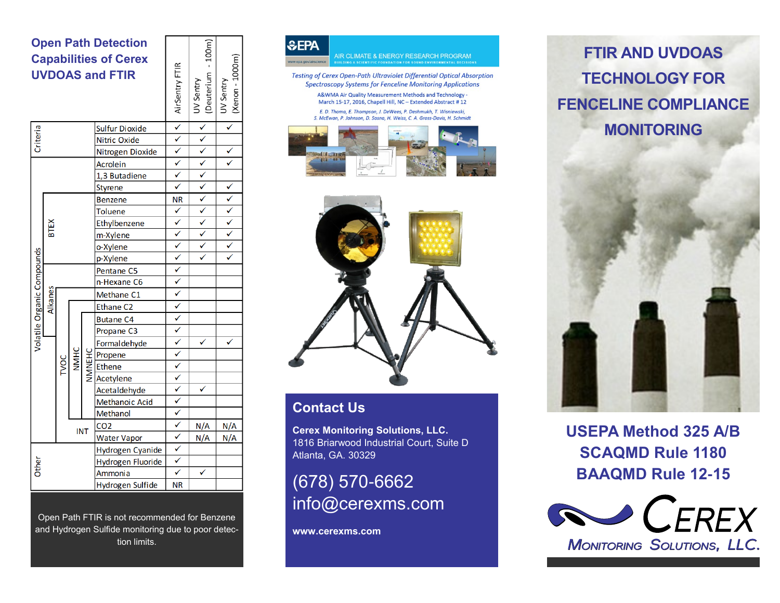#### **Open Path Detection Capabilities of Cerex UVDOAS and FTIR**

| <b>UVDOAS and FTIR</b>     |             |      |             |        |                       | AirSentry FTI                              | (Deuterium<br>UV Sentry | (Xenon - 100<br>UV Sentry   |
|----------------------------|-------------|------|-------------|--------|-----------------------|--------------------------------------------|-------------------------|-----------------------------|
|                            |             |      |             |        | <b>Sulfur Dioxide</b> | <u> マンシンシン mマンシンシンシンシンシンシンシンシンシンシンシンシン</u> | $\sqrt{\checkmark}$     |                             |
| Criteria                   |             |      |             |        | Nitric Oxide          |                                            |                         |                             |
|                            |             |      |             |        | Nitrogen Dioxide      |                                            |                         | $\frac{\sqrt{}}{2}$         |
|                            |             |      |             |        | Acrolein              |                                            |                         |                             |
|                            |             |      |             |        | 1,3 Butadiene         |                                            |                         |                             |
|                            |             |      |             |        | Styrene               |                                            |                         | $\frac{\sqrt{2}}{\sqrt{2}}$ |
| Volatile Organic Compounds |             |      |             |        | <b>Benzene</b>        |                                            |                         |                             |
|                            | <b>BTEX</b> |      |             |        | <b>Toluene</b>        |                                            |                         |                             |
|                            |             |      |             |        | Ethylbenzene          |                                            |                         |                             |
|                            |             |      |             |        | m-Xylene              |                                            |                         |                             |
|                            |             |      |             |        | o-Xylene              |                                            |                         |                             |
|                            |             |      |             |        | p-Xylene              |                                            |                         |                             |
|                            |             |      |             |        | Pentane <sub>C5</sub> |                                            |                         |                             |
|                            |             |      |             |        | n-Hexane C6           |                                            |                         |                             |
|                            | Alkanes     |      |             |        | Methane C1            |                                            |                         |                             |
|                            |             |      |             |        | Ethane C <sub>2</sub> |                                            |                         |                             |
|                            |             | TVOC | <b>NNHC</b> | NNNEHC | <b>Butane C4</b>      |                                            |                         |                             |
|                            |             |      |             |        | Propane C3            |                                            |                         |                             |
|                            |             |      |             |        | Formaldehyde          |                                            |                         |                             |
|                            |             |      |             |        | Propene               |                                            |                         |                             |
|                            |             |      |             |        | Ethene                |                                            |                         |                             |
|                            |             |      |             |        | Acetylene             |                                            |                         |                             |
|                            |             |      |             |        | Acetaldehyde          |                                            | ✓                       |                             |
|                            |             |      |             |        | Methanoic Acid        |                                            |                         |                             |
|                            |             |      |             |        | Methanol              |                                            |                         |                             |
|                            |             |      |             |        | CO <sub>2</sub>       |                                            | N/A                     | N/A                         |
|                            | <b>INT</b>  |      |             |        | <b>Water Vapor</b>    |                                            | N/A                     | N/A                         |
|                            |             |      |             |        | Hydrogen Cyanide      |                                            |                         |                             |
|                            |             |      |             |        | Hydrogen Fluoride     |                                            |                         |                             |
| Other                      |             |      |             |        | Ammonia               |                                            |                         |                             |
|                            |             |      |             |        | Hydrogen Sulfide      | <b>NR</b>                                  |                         |                             |

100m)

 $\widehat{E}$ 

Open Path FTIR is not recommended for Benzene and Hydrogen Sulfide monitoring due to poor detection limits.







#### **Contact Us**

**Cerex Monitoring Solutions, LLC.** 1816 Briarwood Industrial Court, Suite D Atlanta, GA. 30329

(678) 570-6662 info@cerexms.com

**www.cerexms.com**

# **FTIR AND UVDOAS TECHNOLOGY FOR FENCELINE COMPLIANCE MONITORING**



**USEPA Method 325 A/B SCAQMD Rule 1180 BAAQMD Rule 12-15**